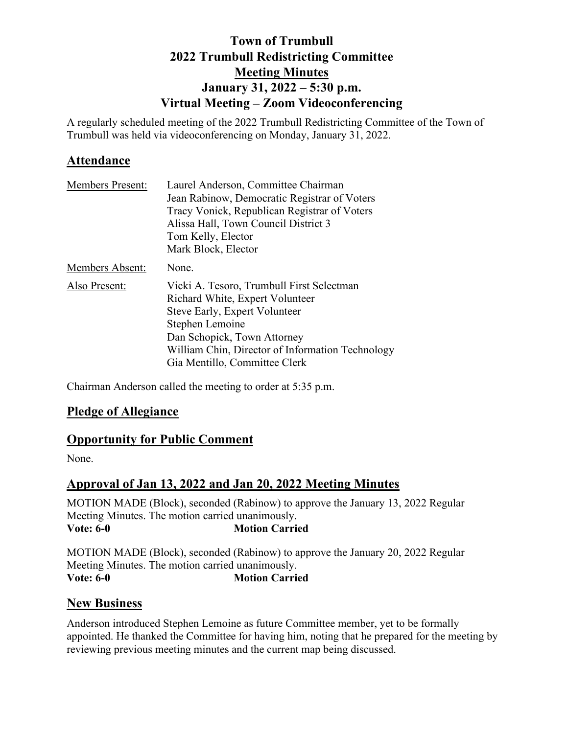# **Town of Trumbull 2022 Trumbull Redistricting Committee Meeting Minutes January 31, 2022 – 5:30 p.m. Virtual Meeting – Zoom Videoconferencing**

A regularly scheduled meeting of the 2022 Trumbull Redistricting Committee of the Town of Trumbull was held via videoconferencing on Monday, January 31, 2022.

# **Attendance**

| <b>Members Present:</b> | Laurel Anderson, Committee Chairman              |
|-------------------------|--------------------------------------------------|
|                         | Jean Rabinow, Democratic Registrar of Voters     |
|                         | Tracy Vonick, Republican Registrar of Voters     |
|                         | Alissa Hall, Town Council District 3             |
|                         | Tom Kelly, Elector                               |
|                         | Mark Block, Elector                              |
| Members Absent:         | None.                                            |
| Also Present:           | Vicki A. Tesoro, Trumbull First Selectman        |
|                         | Richard White, Expert Volunteer                  |
|                         | Steve Early, Expert Volunteer                    |
|                         | Stephen Lemoine                                  |
|                         | Dan Schopick, Town Attorney                      |
|                         | William Chin, Director of Information Technology |
|                         | Gia Mentillo, Committee Clerk                    |

Chairman Anderson called the meeting to order at 5:35 p.m.

## **Pledge of Allegiance**

## **Opportunity for Public Comment**

None.

# **Approval of Jan 13, 2022 and Jan 20, 2022 Meeting Minutes**

MOTION MADE (Block), seconded (Rabinow) to approve the January 13, 2022 Regular Meeting Minutes. The motion carried unanimously.<br>Vote: 6-0 Motion Carrie **Motion Carried** 

MOTION MADE (Block), seconded (Rabinow) to approve the January 20, 2022 Regular Meeting Minutes. The motion carried unanimously. **Vote: 6-0 Motion Carried** 

## **New Business**

Anderson introduced Stephen Lemoine as future Committee member, yet to be formally appointed. He thanked the Committee for having him, noting that he prepared for the meeting by reviewing previous meeting minutes and the current map being discussed.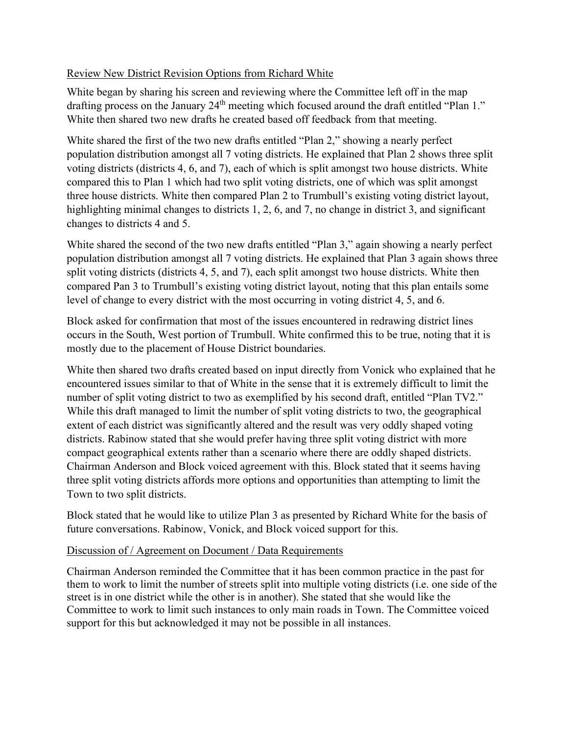### Review New District Revision Options from Richard White

White began by sharing his screen and reviewing where the Committee left off in the map drafting process on the January 24<sup>th</sup> meeting which focused around the draft entitled "Plan 1." White then shared two new drafts he created based off feedback from that meeting.

White shared the first of the two new drafts entitled "Plan 2," showing a nearly perfect population distribution amongst all 7 voting districts. He explained that Plan 2 shows three split voting districts (districts 4, 6, and 7), each of which is split amongst two house districts. White compared this to Plan 1 which had two split voting districts, one of which was split amongst three house districts. White then compared Plan 2 to Trumbull's existing voting district layout, highlighting minimal changes to districts 1, 2, 6, and 7, no change in district 3, and significant changes to districts 4 and 5.

White shared the second of the two new drafts entitled "Plan 3," again showing a nearly perfect population distribution amongst all 7 voting districts. He explained that Plan 3 again shows three split voting districts (districts 4, 5, and 7), each split amongst two house districts. White then compared Pan 3 to Trumbull's existing voting district layout, noting that this plan entails some level of change to every district with the most occurring in voting district 4, 5, and 6.

Block asked for confirmation that most of the issues encountered in redrawing district lines occurs in the South, West portion of Trumbull. White confirmed this to be true, noting that it is mostly due to the placement of House District boundaries.

White then shared two drafts created based on input directly from Vonick who explained that he encountered issues similar to that of White in the sense that it is extremely difficult to limit the number of split voting district to two as exemplified by his second draft, entitled "Plan TV2." While this draft managed to limit the number of split voting districts to two, the geographical extent of each district was significantly altered and the result was very oddly shaped voting districts. Rabinow stated that she would prefer having three split voting district with more compact geographical extents rather than a scenario where there are oddly shaped districts. Chairman Anderson and Block voiced agreement with this. Block stated that it seems having three split voting districts affords more options and opportunities than attempting to limit the Town to two split districts.

Block stated that he would like to utilize Plan 3 as presented by Richard White for the basis of future conversations. Rabinow, Vonick, and Block voiced support for this.

### Discussion of / Agreement on Document / Data Requirements

Chairman Anderson reminded the Committee that it has been common practice in the past for them to work to limit the number of streets split into multiple voting districts (i.e. one side of the street is in one district while the other is in another). She stated that she would like the Committee to work to limit such instances to only main roads in Town. The Committee voiced support for this but acknowledged it may not be possible in all instances.